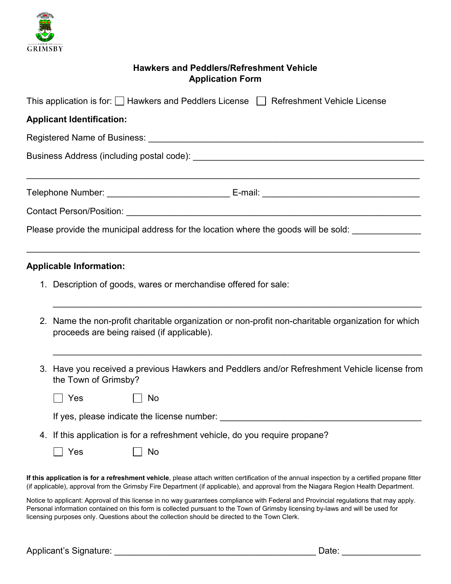

## **Hawkers and Peddlers/Refreshment Vehicle Application Form**

| This application is for: $\Box$ Hawkers and Peddlers License $\Box$ Refreshment Vehicle License<br><b>Applicant Identification:</b> |                                                                                                                                                  |
|-------------------------------------------------------------------------------------------------------------------------------------|--------------------------------------------------------------------------------------------------------------------------------------------------|
|                                                                                                                                     |                                                                                                                                                  |
|                                                                                                                                     |                                                                                                                                                  |
|                                                                                                                                     |                                                                                                                                                  |
|                                                                                                                                     |                                                                                                                                                  |
|                                                                                                                                     | Please provide the municipal address for the location where the goods will be sold:                                                              |
|                                                                                                                                     | <b>Applicable Information:</b><br>1. Description of goods, wares or merchandise offered for sale:                                                |
|                                                                                                                                     | 2. Name the non-profit charitable organization or non-profit non-charitable organization for which<br>proceeds are being raised (if applicable). |
|                                                                                                                                     | 3. Have you received a previous Hawkers and Peddlers and/or Refreshment Vehicle license from<br>the Town of Grimsby?                             |
|                                                                                                                                     | □ Yes<br>$ \top $ No                                                                                                                             |
|                                                                                                                                     |                                                                                                                                                  |
|                                                                                                                                     | 4. If this application is for a refreshment vehicle, do you require propane?                                                                     |
|                                                                                                                                     | Yes<br>No                                                                                                                                        |

**If this application is for a refreshment vehicle**, please attach written certification of the annual inspection by a certified propane fitter (if applicable), approval from the Grimsby Fire Department (if applicable), and approval from the Niagara Region Health Department.

Notice to applicant: Approval of this license in no way guarantees compliance with Federal and Provincial regulations that may apply. Personal information contained on this form is collected pursuant to the Town of Grimsby licensing by-laws and will be used for licensing purposes only. Questions about the collection should be directed to the Town Clerk.